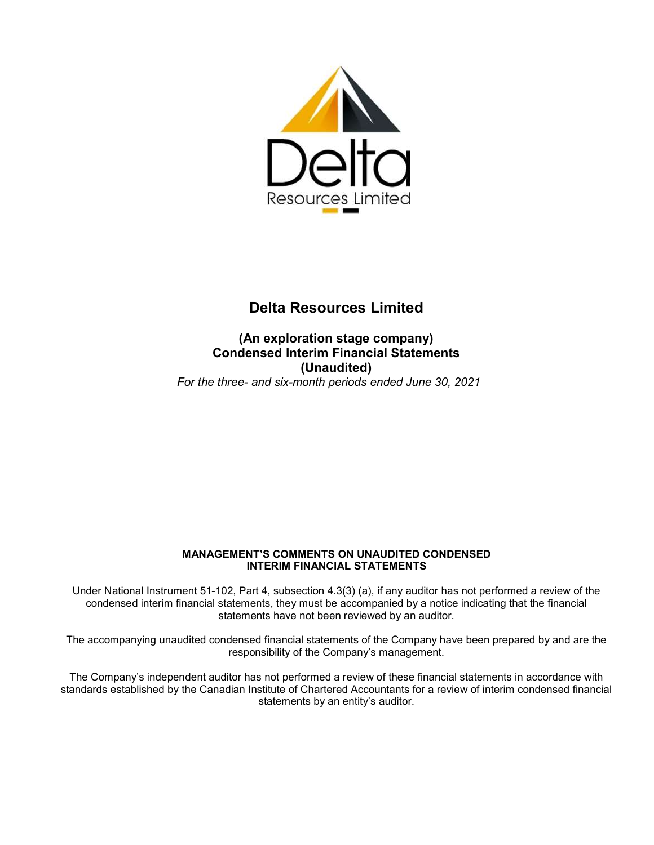

#### **(An exploration stage company) Condensed Interim Financial Statements (Unaudited)**  *For the three- and six-month periods ended June 30, 2021*

#### **MANAGEMENT'S COMMENTS ON UNAUDITED CONDENSED INTERIM FINANCIAL STATEMENTS**

Under National Instrument 51-102, Part 4, subsection 4.3(3) (a), if any auditor has not performed a review of the condensed interim financial statements, they must be accompanied by a notice indicating that the financial statements have not been reviewed by an auditor.

The accompanying unaudited condensed financial statements of the Company have been prepared by and are the responsibility of the Company's management.

The Company's independent auditor has not performed a review of these financial statements in accordance with standards established by the Canadian Institute of Chartered Accountants for a review of interim condensed financial statements by an entity's auditor.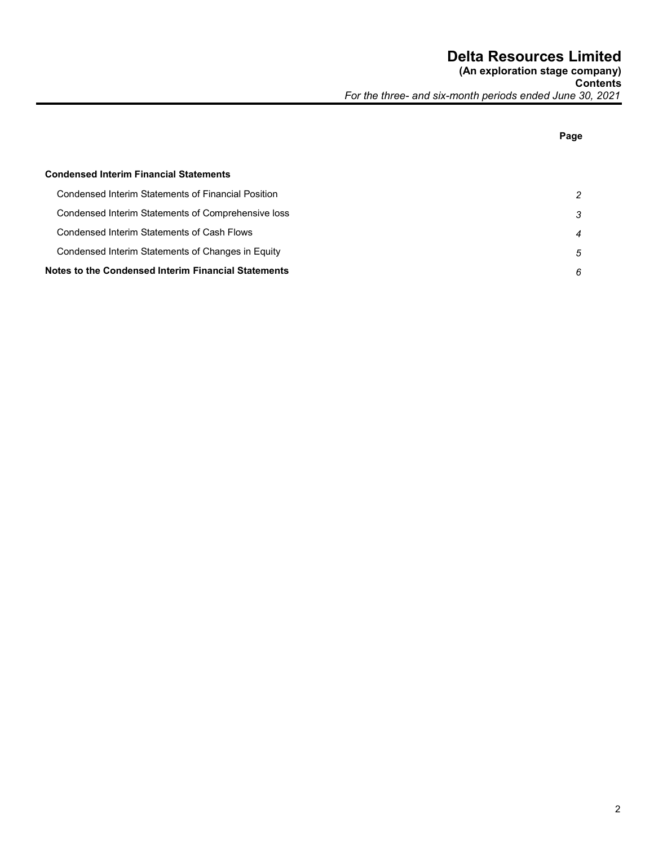**Page** 

# **Condensed Interim Financial Statements**  Condensed Interim Statements of Financial Position *2*  Condensed Interim Statements of Comprehensive loss *3*  Condensed Interim Statements of Cash Flows *4*  Condensed Interim Statements of Changes in Equity *5*  **Notes to the Condensed Interim Financial Statements** *6*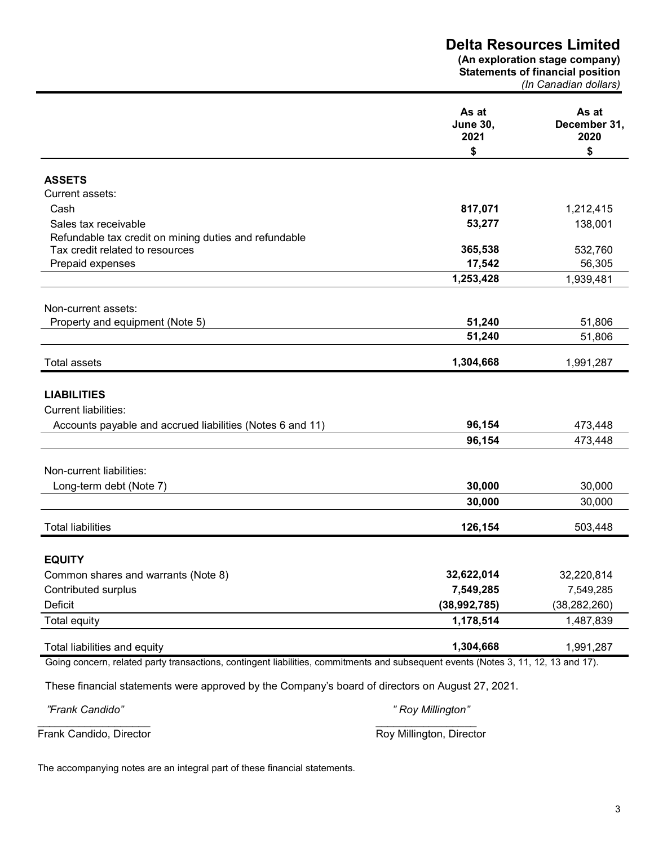**(An exploration stage company) Statements of financial position** 

*(In Canadian dollars)* 

|                                                                                                                                    | As at<br><b>June 30,</b><br>2021 | As at<br>December 31,<br>2020 |
|------------------------------------------------------------------------------------------------------------------------------------|----------------------------------|-------------------------------|
|                                                                                                                                    | \$                               | \$                            |
| <b>ASSETS</b>                                                                                                                      |                                  |                               |
| Current assets:                                                                                                                    |                                  |                               |
| Cash                                                                                                                               | 817,071                          | 1,212,415                     |
| Sales tax receivable                                                                                                               | 53,277                           | 138,001                       |
| Refundable tax credit on mining duties and refundable                                                                              |                                  |                               |
| Tax credit related to resources                                                                                                    | 365,538                          | 532,760                       |
| Prepaid expenses                                                                                                                   | 17,542                           | 56,305                        |
|                                                                                                                                    | 1,253,428                        | 1,939,481                     |
|                                                                                                                                    |                                  |                               |
| Non-current assets:<br>Property and equipment (Note 5)                                                                             | 51,240                           | 51,806                        |
|                                                                                                                                    | 51,240                           | 51,806                        |
|                                                                                                                                    |                                  |                               |
| <b>Total assets</b>                                                                                                                | 1,304,668                        | 1,991,287                     |
|                                                                                                                                    |                                  |                               |
| <b>LIABILITIES</b>                                                                                                                 |                                  |                               |
| <b>Current liabilities:</b>                                                                                                        |                                  |                               |
| Accounts payable and accrued liabilities (Notes 6 and 11)                                                                          | 96,154                           | 473,448                       |
|                                                                                                                                    | 96,154                           | 473,448                       |
|                                                                                                                                    |                                  |                               |
| Non-current liabilities:                                                                                                           |                                  |                               |
| Long-term debt (Note 7)                                                                                                            | 30,000                           | 30,000                        |
|                                                                                                                                    | 30,000                           | 30,000                        |
| <b>Total liabilities</b>                                                                                                           | 126,154                          | 503,448                       |
|                                                                                                                                    |                                  |                               |
| <b>EQUITY</b>                                                                                                                      |                                  |                               |
| Common shares and warrants (Note 8)                                                                                                | 32,622,014                       | 32,220,814                    |
| Contributed surplus                                                                                                                | 7,549,285                        | 7,549,285                     |
| Deficit                                                                                                                            | (38,992,785)                     | (38, 282, 260)                |
| <b>Total equity</b>                                                                                                                | 1,178,514                        | 1,487,839                     |
| Total liabilities and equity                                                                                                       | 1,304,668                        | 1,991,287                     |
| Going concern, related party transactions, contingent liabilities, commitments and subsequent events (Notes 3, 11, 12, 13 and 17). |                                  |                               |
|                                                                                                                                    |                                  |                               |
| These financial statements were approved by the Company's board of directors on August 27, 2021.                                   |                                  |                               |
| "Frank Candido"                                                                                                                    | " Roy Millington"                |                               |
|                                                                                                                                    |                                  |                               |

Frank Candido, Director **Roy Millington, Director** Roy Millington, Director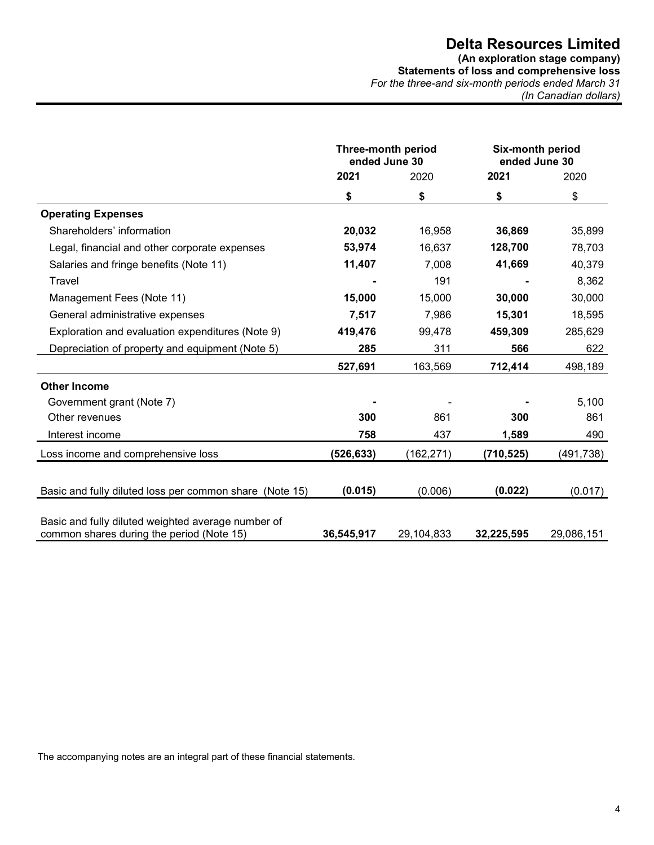**(An exploration stage company) Statements of loss and comprehensive loss**  *For the three-and six-month periods ended March 31 (In Canadian dollars)* 

|                                                                                                 | <b>Three-month period</b><br>ended June 30 |            | Six-month period<br>ended June 30 |            |
|-------------------------------------------------------------------------------------------------|--------------------------------------------|------------|-----------------------------------|------------|
|                                                                                                 | 2021                                       | 2020       |                                   | 2020       |
|                                                                                                 | \$                                         | \$         | \$                                | \$         |
| <b>Operating Expenses</b>                                                                       |                                            |            |                                   |            |
| Shareholders' information                                                                       | 20,032                                     | 16,958     | 36,869                            | 35,899     |
| Legal, financial and other corporate expenses                                                   | 53,974                                     | 16,637     | 128,700                           | 78,703     |
| Salaries and fringe benefits (Note 11)                                                          | 11,407                                     | 7,008      | 41,669                            | 40,379     |
| Travel                                                                                          |                                            | 191        |                                   | 8,362      |
| Management Fees (Note 11)                                                                       | 15,000                                     | 15,000     | 30,000                            | 30,000     |
| General administrative expenses                                                                 | 7,517                                      | 7,986      | 15,301                            | 18,595     |
| Exploration and evaluation expenditures (Note 9)                                                | 419,476                                    | 99,478     | 459,309                           | 285,629    |
| Depreciation of property and equipment (Note 5)                                                 | 285                                        | 311        | 566                               | 622        |
|                                                                                                 | 527,691                                    | 163,569    | 712,414                           | 498,189    |
| <b>Other Income</b>                                                                             |                                            |            |                                   |            |
| Government grant (Note 7)                                                                       |                                            |            |                                   | 5,100      |
| Other revenues                                                                                  | 300                                        | 861        | 300                               | 861        |
| Interest income                                                                                 | 758                                        | 437        | 1,589                             | 490        |
| Loss income and comprehensive loss                                                              | (526, 633)                                 | (162, 271) | (710, 525)                        | (491, 738) |
|                                                                                                 |                                            |            |                                   |            |
| Basic and fully diluted loss per common share (Note 15)                                         | (0.015)                                    | (0.006)    | (0.022)                           | (0.017)    |
|                                                                                                 |                                            |            |                                   |            |
| Basic and fully diluted weighted average number of<br>common shares during the period (Note 15) | 36,545,917                                 | 29,104,833 | 32,225,595                        | 29,086,151 |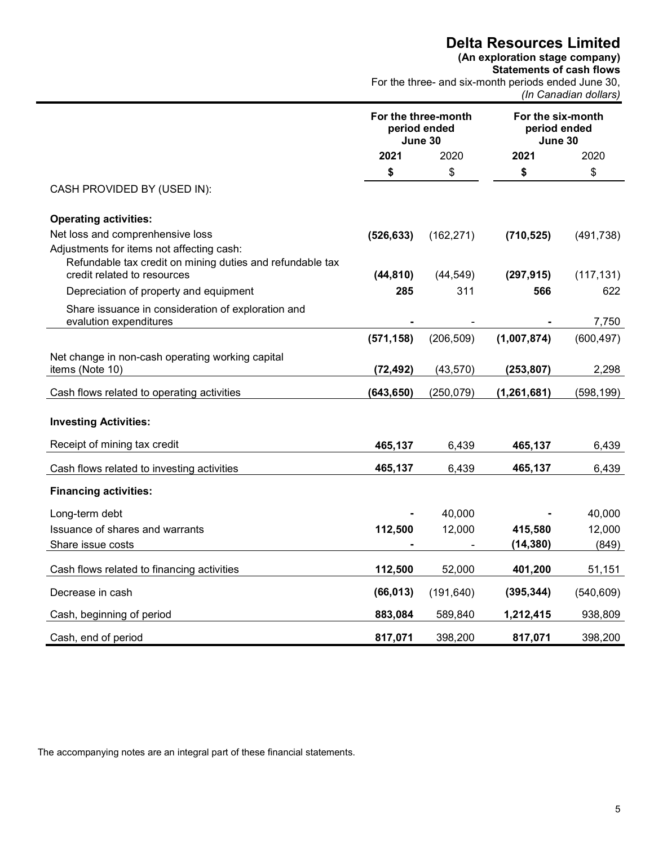#### **(An exploration stage company)**

**Statements of cash flows**  For the three- and six-month periods ended June 30, *(In Canadian dollars)* 

|                                                                                          | For the three-month<br>period ended<br>June 30 |                  | For the six-month<br>period ended<br>June 30 |            |  |
|------------------------------------------------------------------------------------------|------------------------------------------------|------------------|----------------------------------------------|------------|--|
|                                                                                          | 2021                                           | 2020             | 2021                                         | 2020       |  |
|                                                                                          | \$                                             | \$               | \$                                           | \$         |  |
| CASH PROVIDED BY (USED IN):                                                              |                                                |                  |                                              |            |  |
| <b>Operating activities:</b>                                                             |                                                |                  |                                              |            |  |
| Net loss and comprenhensive loss                                                         | (526, 633)                                     | (162, 271)       | (710, 525)                                   | (491, 738) |  |
| Adjustments for items not affecting cash:                                                |                                                |                  |                                              |            |  |
| Refundable tax credit on mining duties and refundable tax<br>credit related to resources | (44, 810)                                      |                  | (297, 915)                                   |            |  |
|                                                                                          | 285                                            | (44, 549)<br>311 | 566                                          | (117, 131) |  |
| Depreciation of property and equipment                                                   |                                                |                  |                                              | 622        |  |
| Share issuance in consideration of exploration and<br>evalution expenditures             |                                                |                  |                                              | 7,750      |  |
|                                                                                          | (571, 158)                                     | (206, 509)       | (1,007,874)                                  | (600, 497) |  |
| Net change in non-cash operating working capital                                         |                                                |                  |                                              |            |  |
| items (Note 10)                                                                          | (72, 492)                                      | (43, 570)        | (253, 807)                                   | 2,298      |  |
| Cash flows related to operating activities                                               | (643, 650)                                     | (250, 079)       | (1, 261, 681)                                | (598, 199) |  |
| <b>Investing Activities:</b>                                                             |                                                |                  |                                              |            |  |
| Receipt of mining tax credit                                                             | 465,137                                        | 6,439            | 465,137                                      | 6,439      |  |
| Cash flows related to investing activities                                               | 465,137                                        | 6,439            | 465,137                                      | 6,439      |  |
| <b>Financing activities:</b>                                                             |                                                |                  |                                              |            |  |
| Long-term debt                                                                           |                                                | 40,000           |                                              | 40,000     |  |
| Issuance of shares and warrants                                                          | 112,500                                        | 12,000           | 415,580                                      | 12,000     |  |
| Share issue costs                                                                        |                                                |                  | (14, 380)                                    | (849)      |  |
| Cash flows related to financing activities                                               | 112,500                                        | 52,000           | 401,200                                      | 51,151     |  |
| Decrease in cash                                                                         | (66, 013)                                      | (191, 640)       | (395, 344)                                   | (540, 609) |  |
| Cash, beginning of period                                                                | 883,084                                        | 589,840          | 1,212,415                                    | 938,809    |  |
| Cash, end of period                                                                      | 817,071                                        | 398,200          | 817,071                                      | 398,200    |  |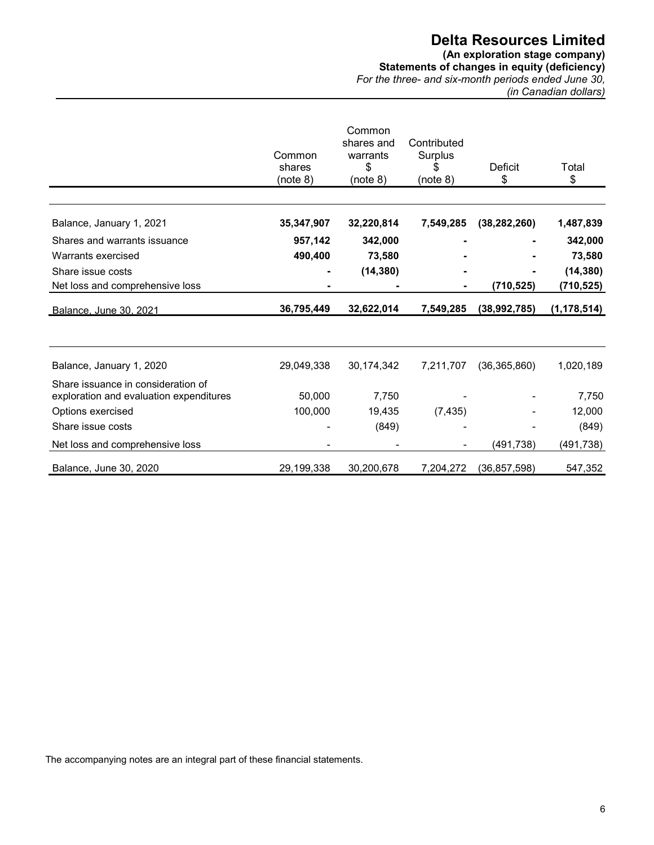#### **(An exploration stage company) Statements of changes in equity (deficiency)**

*For the three- and six-month periods ended June 30, (in Canadian dollars)*

|                                         | Common<br>shares<br>(note 8) | Common<br>shares and<br>warrants<br>\$<br>(note 8) | Contributed<br>Surplus<br>\$<br>(note 8) | <b>Deficit</b><br>\$ | Total<br>\$   |
|-----------------------------------------|------------------------------|----------------------------------------------------|------------------------------------------|----------------------|---------------|
|                                         |                              |                                                    |                                          |                      |               |
| Balance, January 1, 2021                | 35,347,907                   | 32,220,814                                         | 7,549,285                                | (38, 282, 260)       | 1,487,839     |
| Shares and warrants issuance            | 957,142                      | 342,000                                            |                                          |                      | 342,000       |
| Warrants exercised                      | 490,400                      | 73,580                                             |                                          |                      | 73,580        |
| Share issue costs                       |                              | (14, 380)                                          |                                          |                      | (14, 380)     |
| Net loss and comprehensive loss         |                              |                                                    |                                          | (710, 525)           | (710,525)     |
| Balance, June 30, 2021                  | 36,795,449                   | 32,622,014                                         | 7,549,285                                | (38,992,785)         | (1, 178, 514) |
|                                         |                              |                                                    |                                          |                      |               |
| Balance, January 1, 2020                | 29,049,338                   | 30,174,342                                         | 7,211,707                                | (36, 365, 860)       | 1,020,189     |
| Share issuance in consideration of      |                              |                                                    |                                          |                      |               |
| exploration and evaluation expenditures | 50,000                       | 7,750                                              |                                          |                      | 7,750         |
| Options exercised                       | 100,000                      | 19,435                                             | (7, 435)                                 |                      | 12,000        |
| Share issue costs                       |                              | (849)                                              |                                          |                      | (849)         |
| Net loss and comprehensive loss         |                              |                                                    |                                          | (491,738)            | (491,738)     |
| Balance, June 30, 2020                  | 29,199,338                   | 30,200,678                                         | 7,204,272                                | (36, 857, 598)       | 547,352       |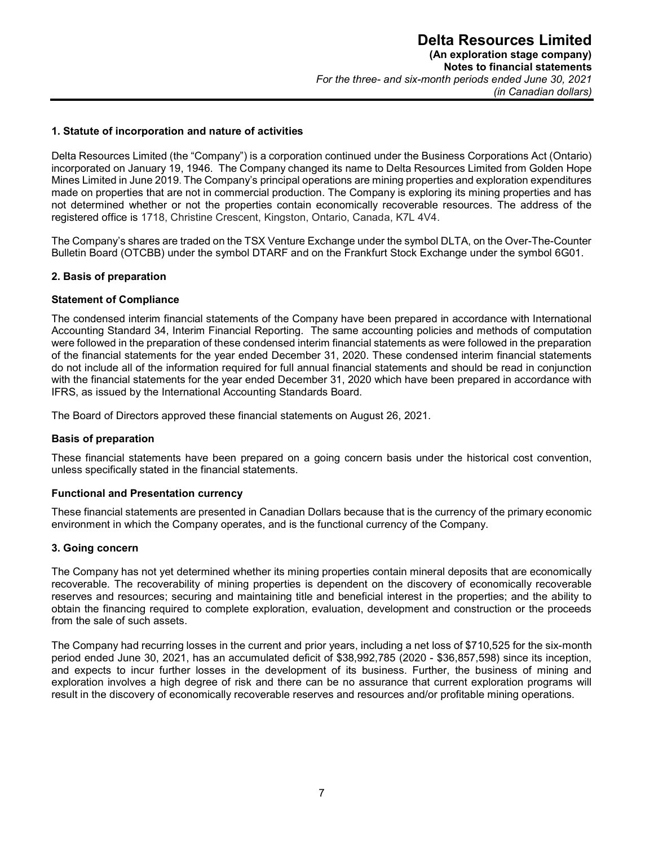#### **1. Statute of incorporation and nature of activities**

Delta Resources Limited (the "Company") is a corporation continued under the Business Corporations Act (Ontario) incorporated on January 19, 1946. The Company changed its name to Delta Resources Limited from Golden Hope Mines Limited in June 2019. The Company's principal operations are mining properties and exploration expenditures made on properties that are not in commercial production. The Company is exploring its mining properties and has not determined whether or not the properties contain economically recoverable resources. The address of the registered office is 1718, Christine Crescent, Kingston, Ontario, Canada, K7L 4V4.

The Company's shares are traded on the TSX Venture Exchange under the symbol DLTA, on the Over-The-Counter Bulletin Board (OTCBB) under the symbol DTARF and on the Frankfurt Stock Exchange under the symbol 6G01.

#### **2. Basis of preparation**

#### **Statement of Compliance**

The condensed interim financial statements of the Company have been prepared in accordance with International Accounting Standard 34, Interim Financial Reporting. The same accounting policies and methods of computation were followed in the preparation of these condensed interim financial statements as were followed in the preparation of the financial statements for the year ended December 31, 2020. These condensed interim financial statements do not include all of the information required for full annual financial statements and should be read in conjunction with the financial statements for the year ended December 31, 2020 which have been prepared in accordance with IFRS, as issued by the International Accounting Standards Board.

The Board of Directors approved these financial statements on August 26, 2021.

#### **Basis of preparation**

These financial statements have been prepared on a going concern basis under the historical cost convention, unless specifically stated in the financial statements.

#### **Functional and Presentation currency**

These financial statements are presented in Canadian Dollars because that is the currency of the primary economic environment in which the Company operates, and is the functional currency of the Company.

#### **3. Going concern**

The Company has not yet determined whether its mining properties contain mineral deposits that are economically recoverable. The recoverability of mining properties is dependent on the discovery of economically recoverable reserves and resources; securing and maintaining title and beneficial interest in the properties; and the ability to obtain the financing required to complete exploration, evaluation, development and construction or the proceeds from the sale of such assets.

The Company had recurring losses in the current and prior years, including a net loss of \$710,525 for the six-month period ended June 30, 2021, has an accumulated deficit of \$38,992,785 (2020 - \$36,857,598) since its inception, and expects to incur further losses in the development of its business. Further, the business of mining and exploration involves a high degree of risk and there can be no assurance that current exploration programs will result in the discovery of economically recoverable reserves and resources and/or profitable mining operations.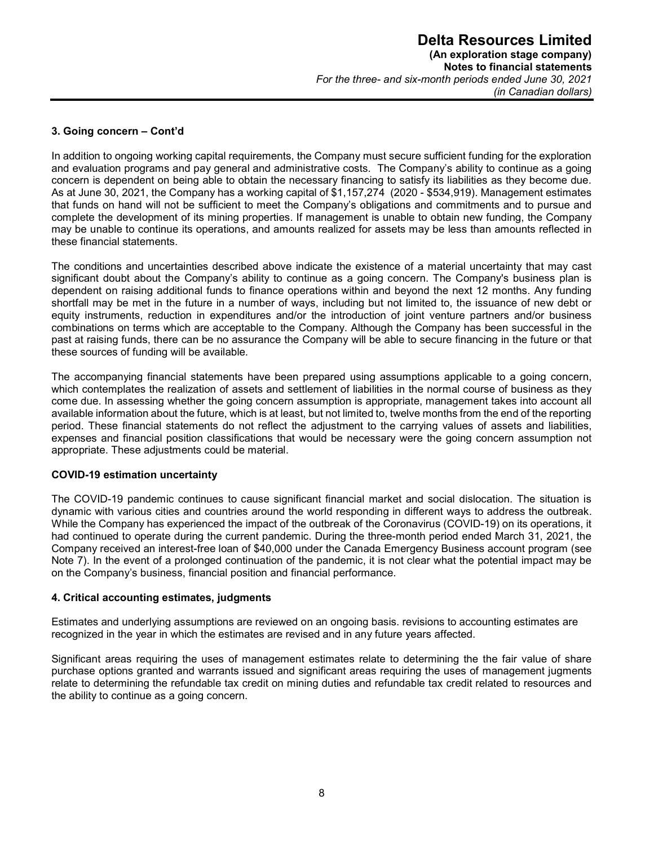#### **3. Going concern – Cont'd**

In addition to ongoing working capital requirements, the Company must secure sufficient funding for the exploration and evaluation programs and pay general and administrative costs. The Company's ability to continue as a going concern is dependent on being able to obtain the necessary financing to satisfy its liabilities as they become due. As at June 30, 2021, the Company has a working capital of \$1,157,274 (2020 - \$534,919). Management estimates that funds on hand will not be sufficient to meet the Company's obligations and commitments and to pursue and complete the development of its mining properties. If management is unable to obtain new funding, the Company may be unable to continue its operations, and amounts realized for assets may be less than amounts reflected in these financial statements.

The conditions and uncertainties described above indicate the existence of a material uncertainty that may cast significant doubt about the Company's ability to continue as a going concern. The Company's business plan is dependent on raising additional funds to finance operations within and beyond the next 12 months. Any funding shortfall may be met in the future in a number of ways, including but not limited to, the issuance of new debt or equity instruments, reduction in expenditures and/or the introduction of joint venture partners and/or business combinations on terms which are acceptable to the Company. Although the Company has been successful in the past at raising funds, there can be no assurance the Company will be able to secure financing in the future or that these sources of funding will be available.

The accompanying financial statements have been prepared using assumptions applicable to a going concern, which contemplates the realization of assets and settlement of liabilities in the normal course of business as they come due. In assessing whether the going concern assumption is appropriate, management takes into account all available information about the future, which is at least, but not limited to, twelve months from the end of the reporting period. These financial statements do not reflect the adjustment to the carrying values of assets and liabilities, expenses and financial position classifications that would be necessary were the going concern assumption not appropriate. These adjustments could be material.

#### **COVID-19 estimation uncertainty**

The COVID-19 pandemic continues to cause significant financial market and social dislocation. The situation is dynamic with various cities and countries around the world responding in different ways to address the outbreak. While the Company has experienced the impact of the outbreak of the Coronavirus (COVID-19) on its operations, it had continued to operate during the current pandemic. During the three-month period ended March 31, 2021, the Company received an interest-free loan of \$40,000 under the Canada Emergency Business account program (see Note 7). In the event of a prolonged continuation of the pandemic, it is not clear what the potential impact may be on the Company's business, financial position and financial performance.

#### **4. Critical accounting estimates, judgments**

Estimates and underlying assumptions are reviewed on an ongoing basis. revisions to accounting estimates are recognized in the year in which the estimates are revised and in any future years affected.

Significant areas requiring the uses of management estimates relate to determining the the fair value of share purchase options granted and warrants issued and significant areas requiring the uses of management jugments relate to determining the refundable tax credit on mining duties and refundable tax credit related to resources and the ability to continue as a going concern.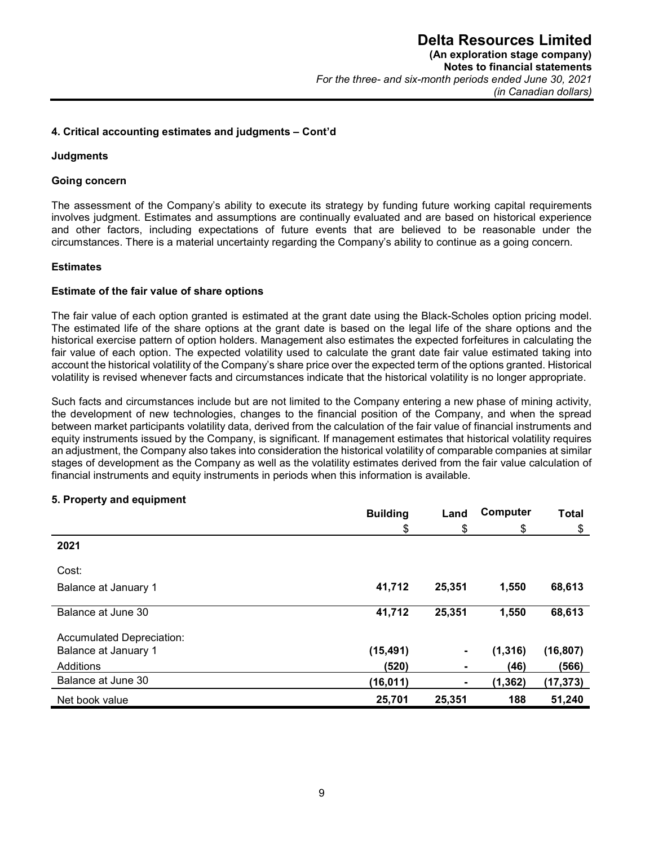#### **4. Critical accounting estimates and judgments – Cont'd**

#### **Judgments**

#### **Going concern**

The assessment of the Company's ability to execute its strategy by funding future working capital requirements involves judgment. Estimates and assumptions are continually evaluated and are based on historical experience and other factors, including expectations of future events that are believed to be reasonable under the circumstances. There is a material uncertainty regarding the Company's ability to continue as a going concern.

#### **Estimates**

#### **Estimate of the fair value of share options**

The fair value of each option granted is estimated at the grant date using the Black-Scholes option pricing model. The estimated life of the share options at the grant date is based on the legal life of the share options and the historical exercise pattern of option holders. Management also estimates the expected forfeitures in calculating the fair value of each option. The expected volatility used to calculate the grant date fair value estimated taking into account the historical volatility of the Company's share price over the expected term of the options granted. Historical volatility is revised whenever facts and circumstances indicate that the historical volatility is no longer appropriate.

Such facts and circumstances include but are not limited to the Company entering a new phase of mining activity, the development of new technologies, changes to the financial position of the Company, and when the spread between market participants volatility data, derived from the calculation of the fair value of financial instruments and equity instruments issued by the Company, is significant. If management estimates that historical volatility requires an adjustment, the Company also takes into consideration the historical volatility of comparable companies at similar stages of development as the Company as well as the volatility estimates derived from the fair value calculation of financial instruments and equity instruments in periods when this information is available.

#### **5. Property and equipment**

|                           | <b>Building</b> | Land           | Computer | <b>Total</b> |
|---------------------------|-----------------|----------------|----------|--------------|
|                           | \$              | \$             | \$       | \$           |
| 2021                      |                 |                |          |              |
| Cost:                     |                 |                |          |              |
| Balance at January 1      | 41,712          | 25,351         | 1,550    | 68,613       |
| Balance at June 30        | 41,712          | 25,351         | 1,550    | 68,613       |
| Accumulated Depreciation: |                 |                |          |              |
| Balance at January 1      | (15, 491)       | $\blacksquare$ | (1, 316) | (16, 807)    |
| Additions                 | (520)           | ۰              | (46)     | (566)        |
| Balance at June 30        | (16, 011)       | ۰              | (1, 362) | (17, 373)    |
| Net book value            | 25,701          | 25,351         | 188      | 51,240       |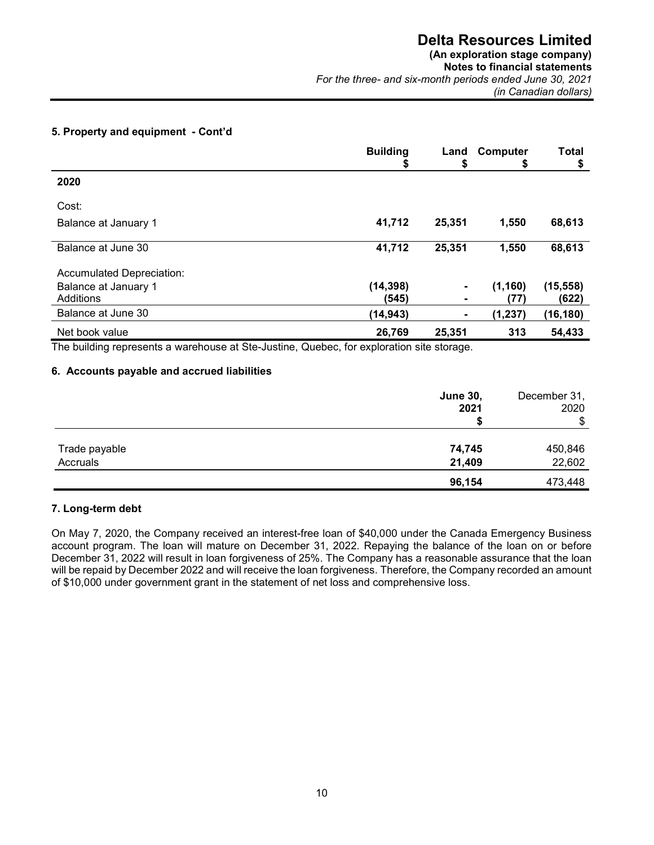#### **(An exploration stage company)**

**Notes to financial statements**  *For the three- and six-month periods ended June 30, 2021 (in Canadian dollars)* 

#### **5. Property and equipment - Cont'd**

|                           | <b>Building</b><br>⊅ | Land<br>\$     | Computer<br>\$ | <b>Total</b><br>\$ |
|---------------------------|----------------------|----------------|----------------|--------------------|
| 2020                      |                      |                |                |                    |
| Cost:                     |                      |                |                |                    |
| Balance at January 1      | 41,712               | 25,351         | 1,550          | 68,613             |
| Balance at June 30        | 41,712               | 25,351         | 1,550          | 68,613             |
| Accumulated Depreciation: |                      |                |                |                    |
| Balance at January 1      | (14, 398)            | $\blacksquare$ | (1, 160)       | (15, 558)          |
| Additions                 | (545)                |                | (77)           | (622)              |
| Balance at June 30        | (14, 943)            | ٠.             | (1, 237)       | (16,180)           |
| Net book value            | 26,769               | 25,351         | 313            | 54,433             |

The building represents a warehouse at Ste-Justine, Quebec, for exploration site storage.

#### **6. Accounts payable and accrued liabilities**

|               | <b>June 30,</b><br>2021 | December 31,<br>2020 |
|---------------|-------------------------|----------------------|
|               |                         | \$                   |
| Trade payable | 74,745                  | 450,846              |
| Accruals      | 21,409                  | 22,602               |
|               | 96,154                  | 473,448              |

#### **7. Long-term debt**

On May 7, 2020, the Company received an interest-free loan of \$40,000 under the Canada Emergency Business account program. The loan will mature on December 31, 2022. Repaying the balance of the loan on or before December 31, 2022 will result in loan forgiveness of 25%. The Company has a reasonable assurance that the loan will be repaid by December 2022 and will receive the loan forgiveness. Therefore, the Company recorded an amount of \$10,000 under government grant in the statement of net loss and comprehensive loss.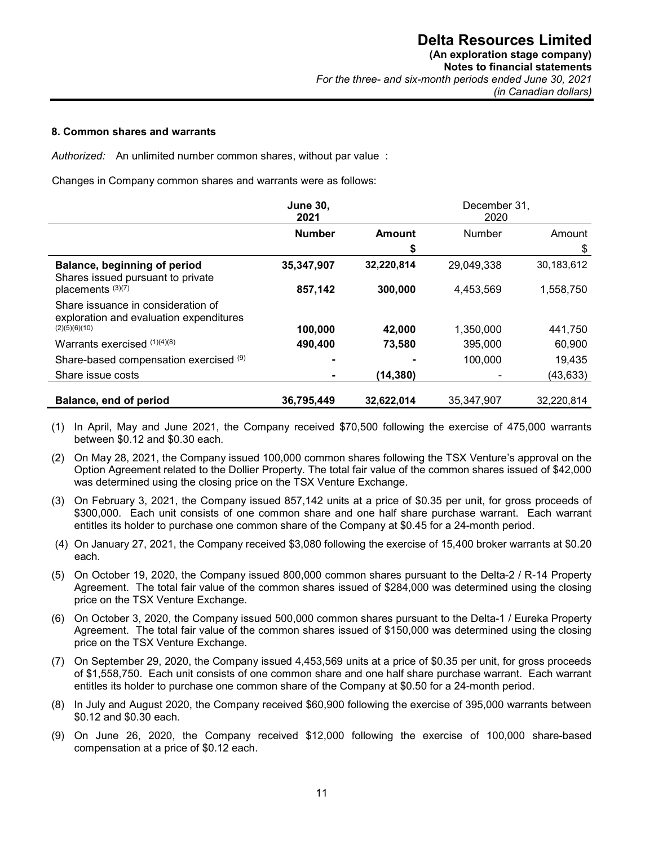#### **8. Common shares and warrants**

*Authorized:* An unlimited number common shares, without par value :

Changes in Company common shares and warrants were as follows:

|                                                                               | <b>June 30,</b><br>2021 | December 31,<br>2020 |            |            |
|-------------------------------------------------------------------------------|-------------------------|----------------------|------------|------------|
|                                                                               | <b>Number</b>           | Amount               | Number     | Amount     |
|                                                                               |                         | \$                   |            | \$         |
| Balance, beginning of period<br>Shares issued pursuant to private             | 35,347,907              | 32,220,814           | 29,049,338 | 30,183,612 |
| placements (3)(7)                                                             | 857,142                 | 300,000              | 4,453,569  | 1,558,750  |
| Share issuance in consideration of<br>exploration and evaluation expenditures |                         |                      |            |            |
| (2)(5)(6)(10)                                                                 | 100,000                 | 42,000               | 1,350,000  | 441,750    |
| Warrants exercised $(1)(4)(8)$                                                | 490,400                 | 73,580               | 395,000    | 60,900     |
| Share-based compensation exercised (9)                                        |                         |                      | 100,000    | 19,435     |
| Share issue costs                                                             |                         | (14,380)             |            | (43, 633)  |
| Balance, end of period                                                        | 36,795,449              |                      | 35,347,907 | 32.220.814 |
|                                                                               |                         | 32,622,014           |            |            |

- (1) In April, May and June 2021, the Company received \$70,500 following the exercise of 475,000 warrants between \$0.12 and \$0.30 each.
- (2) On May 28, 2021, the Company issued 100,000 common shares following the TSX Venture's approval on the Option Agreement related to the Dollier Property. The total fair value of the common shares issued of \$42,000 was determined using the closing price on the TSX Venture Exchange.
- (3) On February 3, 2021, the Company issued 857,142 units at a price of \$0.35 per unit, for gross proceeds of \$300,000. Each unit consists of one common share and one half share purchase warrant. Each warrant entitles its holder to purchase one common share of the Company at \$0.45 for a 24-month period.
- (4) On January 27, 2021, the Company received \$3,080 following the exercise of 15,400 broker warrants at \$0.20 each.
- (5) On October 19, 2020, the Company issued 800,000 common shares pursuant to the Delta-2 / R-14 Property Agreement. The total fair value of the common shares issued of \$284,000 was determined using the closing price on the TSX Venture Exchange.
- (6) On October 3, 2020, the Company issued 500,000 common shares pursuant to the Delta-1 / Eureka Property Agreement. The total fair value of the common shares issued of \$150,000 was determined using the closing price on the TSX Venture Exchange.
- (7) On September 29, 2020, the Company issued 4,453,569 units at a price of \$0.35 per unit, for gross proceeds of \$1,558,750. Each unit consists of one common share and one half share purchase warrant. Each warrant entitles its holder to purchase one common share of the Company at \$0.50 for a 24-month period.
- (8) In July and August 2020, the Company received \$60,900 following the exercise of 395,000 warrants between \$0.12 and \$0.30 each.
- (9) On June 26, 2020, the Company received \$12,000 following the exercise of 100,000 share-based compensation at a price of \$0.12 each.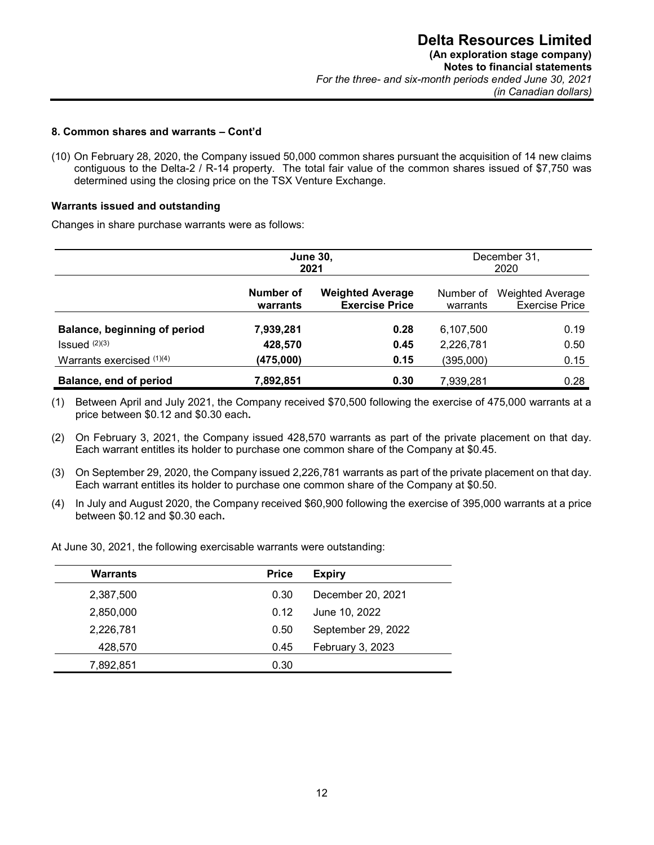#### **8. Common shares and warrants – Cont'd**

(10) On February 28, 2020, the Company issued 50,000 common shares pursuant the acquisition of 14 new claims contiguous to the Delta-2 / R-14 property. The total fair value of the common shares issued of \$7,750 was determined using the closing price on the TSX Venture Exchange.

#### **Warrants issued and outstanding**

Changes in share purchase warrants were as follows:

|                              |                       | <b>June 30,</b><br>2021                          | December 31,<br>2020  |                                                  |  |
|------------------------------|-----------------------|--------------------------------------------------|-----------------------|--------------------------------------------------|--|
|                              | Number of<br>warrants | <b>Weighted Average</b><br><b>Exercise Price</b> | Number of<br>warrants | <b>Weighted Average</b><br><b>Exercise Price</b> |  |
| Balance, beginning of period | 7,939,281             | 0.28                                             | 6,107,500             | 0.19                                             |  |
| $Issued$ $(2)(3)$            | 428,570               | 0.45                                             | 2,226,781             | 0.50                                             |  |
| Warrants exercised $(1)(4)$  | (475,000)             | 0.15                                             | (395,000)             | 0.15                                             |  |
| Balance, end of period       | 7,892,851             | 0.30                                             | 7,939,281             | 0.28                                             |  |

(1) Between April and July 2021, the Company received \$70,500 following the exercise of 475,000 warrants at a price between \$0.12 and \$0.30 each**.** 

(2) On February 3, 2021, the Company issued 428,570 warrants as part of the private placement on that day. Each warrant entitles its holder to purchase one common share of the Company at \$0.45.

- (3) On September 29, 2020, the Company issued 2,226,781 warrants as part of the private placement on that day. Each warrant entitles its holder to purchase one common share of the Company at \$0.50.
- (4) In July and August 2020, the Company received \$60,900 following the exercise of 395,000 warrants at a price between \$0.12 and \$0.30 each**.**

At June 30, 2021, the following exercisable warrants were outstanding:

| <b>Warrants</b> | <b>Price</b> | <b>Expiry</b>      |
|-----------------|--------------|--------------------|
| 2,387,500       | 0.30         | December 20, 2021  |
| 2,850,000       | 0.12         | June 10, 2022      |
| 2,226,781       | 0.50         | September 29, 2022 |
| 428,570         | 0.45         | February 3, 2023   |
| 7,892,851       | 0.30         |                    |
|                 |              |                    |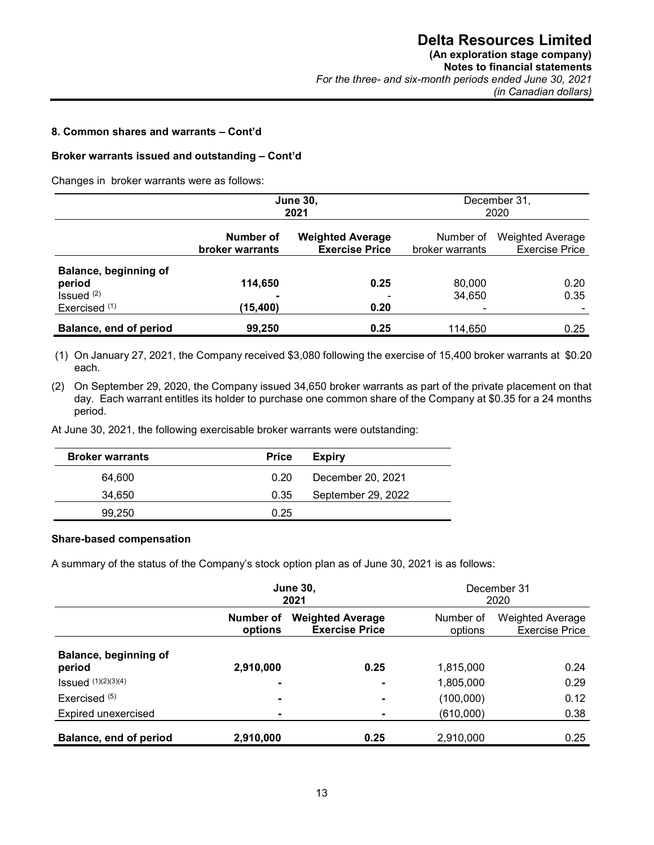#### **8. Common shares and warrants – Cont'd**

#### **Broker warrants issued and outstanding – Cont'd**

Changes in broker warrants were as follows:

|                                                           | <b>June 30,</b><br>2021             |                                                  |                              | December 31,<br>2020                             |
|-----------------------------------------------------------|-------------------------------------|--------------------------------------------------|------------------------------|--------------------------------------------------|
|                                                           | Number of<br><b>broker warrants</b> | <b>Weighted Average</b><br><b>Exercise Price</b> | Number of<br>broker warrants | <b>Weighted Average</b><br><b>Exercise Price</b> |
| Balance, beginning of<br>period<br>Is sued <sup>(2)</sup> | 114,650                             | 0.25                                             | 80,000<br>34,650             | 0.20<br>0.35                                     |
| Exercised <sup>(1)</sup><br>Balance, end of period        | (15,400)<br>99,250                  | 0.20<br>0.25                                     | 114.650                      | 0.25                                             |

(1) On January 27, 2021, the Company received \$3,080 following the exercise of 15,400 broker warrants at \$0.20 each.

(2) On September 29, 2020, the Company issued 34,650 broker warrants as part of the private placement on that day. Each warrant entitles its holder to purchase one common share of the Company at \$0.35 for a 24 months period.

At June 30, 2021, the following exercisable broker warrants were outstanding:

| <b>Broker warrants</b> | <b>Price</b> | <b>Expiry</b>      |
|------------------------|--------------|--------------------|
| 64.600                 | 0.20         | December 20, 2021  |
| 34.650                 | 0.35         | September 29, 2022 |
| 99.250                 | 0.25         |                    |

#### **Share-based compensation**

A summary of the status of the Company's stock option plan as of June 30, 2021 is as follows:

|                                 | <b>June 30,</b><br>2021  |                                                  |                      | December 31<br>2020                              |  |
|---------------------------------|--------------------------|--------------------------------------------------|----------------------|--------------------------------------------------|--|
|                                 | Number of<br>options     | <b>Weighted Average</b><br><b>Exercise Price</b> | Number of<br>options | <b>Weighted Average</b><br><b>Exercise Price</b> |  |
| Balance, beginning of<br>period | 2,910,000                | 0.25                                             | 1,815,000            | 0.24                                             |  |
| <b>Issued</b> (1)(2)(3)(4)      | $\overline{\phantom{0}}$ |                                                  | 1,805,000            | 0.29                                             |  |
| Exercised $(5)$                 | ۰                        | ۰                                                | (100,000)            | 0.12                                             |  |
| Expired unexercised             | ۰                        |                                                  | (610,000)            | 0.38                                             |  |
| Balance, end of period          | 2,910,000                | 0.25                                             | 2,910,000            | 0.25                                             |  |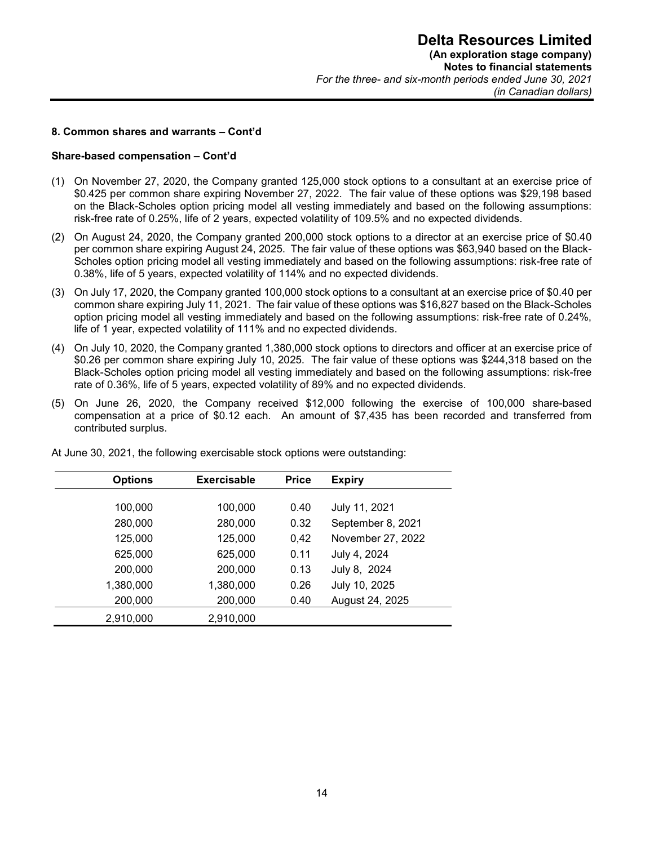#### **8. Common shares and warrants – Cont'd**

#### **Share-based compensation – Cont'd**

- (1) On November 27, 2020, the Company granted 125,000 stock options to a consultant at an exercise price of \$0.425 per common share expiring November 27, 2022. The fair value of these options was \$29,198 based on the Black-Scholes option pricing model all vesting immediately and based on the following assumptions: risk-free rate of 0.25%, life of 2 years, expected volatility of 109.5% and no expected dividends.
- (2) On August 24, 2020, the Company granted 200,000 stock options to a director at an exercise price of \$0.40 per common share expiring August 24, 2025. The fair value of these options was \$63,940 based on the Black-Scholes option pricing model all vesting immediately and based on the following assumptions: risk-free rate of 0.38%, life of 5 years, expected volatility of 114% and no expected dividends.
- (3) On July 17, 2020, the Company granted 100,000 stock options to a consultant at an exercise price of \$0.40 per common share expiring July 11, 2021. The fair value of these options was \$16,827 based on the Black-Scholes option pricing model all vesting immediately and based on the following assumptions: risk-free rate of 0.24%, life of 1 year, expected volatility of 111% and no expected dividends.
- (4) On July 10, 2020, the Company granted 1,380,000 stock options to directors and officer at an exercise price of \$0.26 per common share expiring July 10, 2025. The fair value of these options was \$244,318 based on the Black-Scholes option pricing model all vesting immediately and based on the following assumptions: risk-free rate of 0.36%, life of 5 years, expected volatility of 89% and no expected dividends.
- (5) On June 26, 2020, the Company received \$12,000 following the exercise of 100,000 share-based compensation at a price of \$0.12 each. An amount of \$7,435 has been recorded and transferred from contributed surplus.

| <b>Options</b> | <b>Exercisable</b> | <b>Price</b> | <b>Expiry</b>     |
|----------------|--------------------|--------------|-------------------|
| 100,000        | 100,000            | 0.40         | July 11, 2021     |
| 280,000        | 280,000            | 0.32         | September 8, 2021 |
| 125,000        | 125,000            | 0,42         | November 27, 2022 |
| 625,000        | 625,000            | 0.11         | July 4, 2024      |
| 200,000        | 200,000            | 0.13         | July 8, 2024      |
| 1,380,000      | 1,380,000          | 0.26         | July 10, 2025     |
| 200,000        | 200,000            | 0.40         | August 24, 2025   |
| 2,910,000      | 2,910,000          |              |                   |

At June 30, 2021, the following exercisable stock options were outstanding: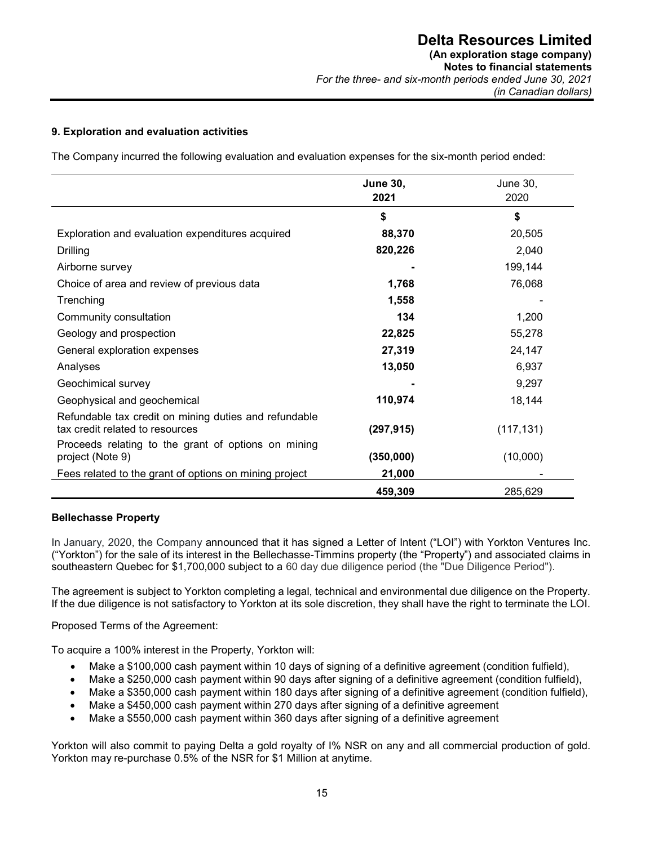#### **9. Exploration and evaluation activities**

The Company incurred the following evaluation and evaluation expenses for the six-month period ended:

|                                                                                          | <b>June 30,</b><br>2021 | <b>June 30,</b><br>2020 |
|------------------------------------------------------------------------------------------|-------------------------|-------------------------|
|                                                                                          | \$                      | \$                      |
| Exploration and evaluation expenditures acquired                                         | 88,370                  | 20,505                  |
| Drilling                                                                                 | 820,226                 | 2,040                   |
| Airborne survey                                                                          |                         | 199,144                 |
| Choice of area and review of previous data                                               | 1,768                   | 76,068                  |
| Trenching                                                                                | 1,558                   |                         |
| Community consultation                                                                   | 134                     | 1,200                   |
| Geology and prospection                                                                  | 22,825                  | 55,278                  |
| General exploration expenses                                                             | 27,319                  | 24,147                  |
| Analyses                                                                                 | 13,050                  | 6,937                   |
| Geochimical survey                                                                       |                         | 9,297                   |
| Geophysical and geochemical                                                              | 110,974                 | 18,144                  |
| Refundable tax credit on mining duties and refundable<br>tax credit related to resources | (297, 915)              | (117, 131)              |
| Proceeds relating to the grant of options on mining<br>project (Note 9)                  | (350,000)               | (10,000)                |
| Fees related to the grant of options on mining project                                   | 21,000                  |                         |
|                                                                                          | 459,309                 | 285,629                 |

#### **Bellechasse Property**

In January, 2020, the Company announced that it has signed a Letter of Intent ("LOI") with Yorkton Ventures Inc. ("Yorkton") for the sale of its interest in the Bellechasse-Timmins property (the "Property") and associated claims in southeastern Quebec for \$1,700,000 subject to a 60 day due diligence period (the "Due Diligence Period").

The agreement is subject to Yorkton completing a legal, technical and environmental due diligence on the Property. If the due diligence is not satisfactory to Yorkton at its sole discretion, they shall have the right to terminate the LOI.

Proposed Terms of the Agreement:

To acquire a 100% interest in the Property, Yorkton will:

- Make a \$100,000 cash payment within 10 days of signing of a definitive agreement (condition fulfield),
- Make a \$250,000 cash payment within 90 days after signing of a definitive agreement (condition fulfield),
- Make a \$350,000 cash payment within 180 days after signing of a definitive agreement (condition fulfield),
- Make a \$450,000 cash payment within 270 days after signing of a definitive agreement
- Make a \$550,000 cash payment within 360 days after signing of a definitive agreement

Yorkton will also commit to paying Delta a gold royalty of I% NSR on any and all commercial production of gold. Yorkton may re-purchase 0.5% of the NSR for \$1 Million at anytime.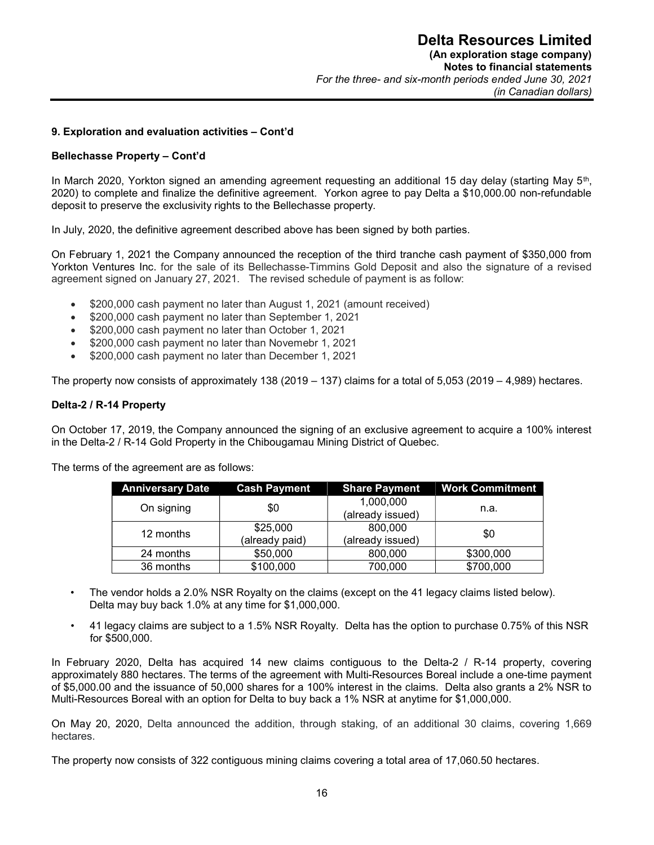#### **9. Exploration and evaluation activities – Cont'd**

#### **Bellechasse Property – Cont'd**

In March 2020, Yorkton signed an amending agreement requesting an additional 15 day delay (starting May 5<sup>th</sup>, 2020) to complete and finalize the definitive agreement. Yorkon agree to pay Delta a \$10,000.00 non-refundable deposit to preserve the exclusivity rights to the Bellechasse property.

In July, 2020, the definitive agreement described above has been signed by both parties.

On February 1, 2021 the Company announced the reception of the third tranche cash payment of \$350,000 from Yorkton Ventures Inc. for the sale of its Bellechasse-Timmins Gold Deposit and also the signature of a revised agreement signed on January 27, 2021. The revised schedule of payment is as follow:

- \$200,000 cash payment no later than August 1, 2021 (amount received)
- \$200,000 cash payment no later than September 1, 2021
- \$200,000 cash payment no later than October 1, 2021
- \$200,000 cash payment no later than Novemebr 1, 2021
- \$200,000 cash payment no later than December 1, 2021

The property now consists of approximately 138 (2019 – 137) claims for a total of 5,053 (2019 – 4,989) hectares.

#### **Delta-2 / R-14 Property**

On October 17, 2019, the Company announced the signing of an exclusive agreement to acquire a 100% interest in the Delta-2 / R-14 Gold Property in the Chibougamau Mining District of Quebec.

The terms of the agreement are as follows:

| <b>Anniversary Date</b> | <b>Cash Payment</b> | <b>Share Payment</b> | <b>Work Commitment</b> |  |
|-------------------------|---------------------|----------------------|------------------------|--|
| On signing              | \$0                 | 1,000,000            | n.a.                   |  |
|                         |                     | (already issued)     |                        |  |
|                         | \$25,000            | 800,000              | \$0                    |  |
| 12 months               | (already paid)      | (already issued)     |                        |  |
| 24 months               | \$50,000            | 800,000              | \$300,000              |  |
| 36 months               | \$100,000           | 700,000              | \$700,000              |  |

- The vendor holds a 2.0% NSR Royalty on the claims (except on the 41 legacy claims listed below). Delta may buy back 1.0% at any time for \$1,000,000.
- 41 legacy claims are subject to a 1.5% NSR Royalty. Delta has the option to purchase 0.75% of this NSR for \$500,000.

In February 2020, Delta has acquired 14 new claims contiguous to the Delta-2 / R-14 property, covering approximately 880 hectares. The terms of the agreement with Multi-Resources Boreal include a one-time payment of \$5,000.00 and the issuance of 50,000 shares for a 100% interest in the claims. Delta also grants a 2% NSR to Multi-Resources Boreal with an option for Delta to buy back a 1% NSR at anytime for \$1,000,000.

On May 20, 2020, Delta announced the addition, through staking, of an additional 30 claims, covering 1,669 hectares.

The property now consists of 322 contiguous mining claims covering a total area of 17,060.50 hectares.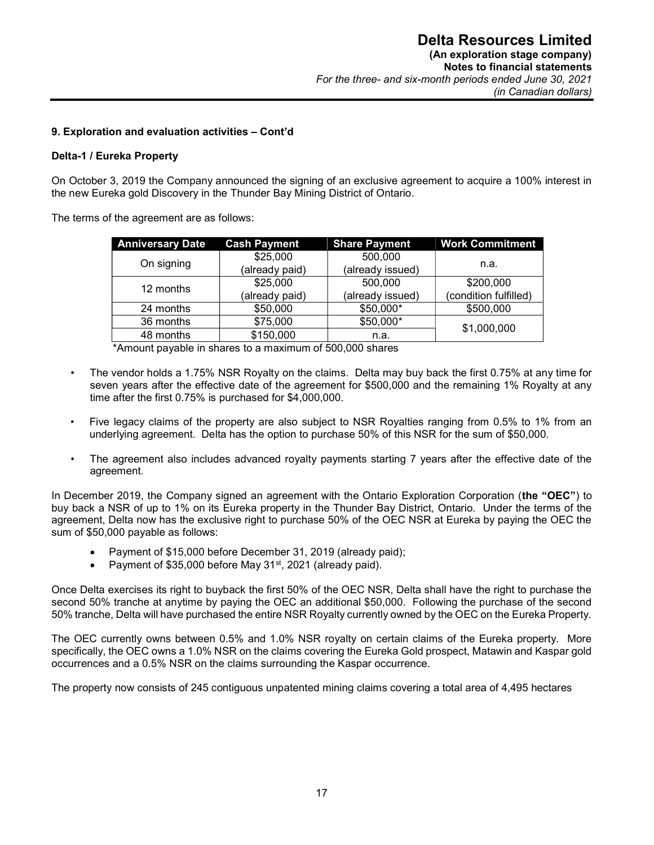#### **9. Exploration and evaluation activities – Cont'd**

#### **Delta-1 / Eureka Property**

On October 3, 2019 the Company announced the signing of an exclusive agreement to acquire a 100% interest in the new Eureka gold Discovery in the Thunder Bay Mining District of Ontario.

The terms of the agreement are as follows:

| <b>Anniversary Date</b> | <b>Cash Payment</b> | <b>Share Payment</b> | <b>Work Commitment</b> |
|-------------------------|---------------------|----------------------|------------------------|
| On signing              | \$25,000            | 500,000              |                        |
|                         | (already paid)      | (already issued)     | n.a.                   |
| 12 months               | \$25,000            | 500,000              | \$200,000              |
|                         | (already paid)      | (already issued)     | (condition fulfilled)  |
| 24 months               | \$50,000            | \$50,000*            | \$500,000              |
| 36 months               | \$75,000            | \$50,000*            | \$1,000,000            |
| 48 months               | \$150,000           | n.a.                 |                        |

\*Amount payable in shares to a maximum of 500,000 shares

- The vendor holds a 1.75% NSR Royalty on the claims. Delta may buy back the first 0.75% at any time for seven years after the effective date of the agreement for \$500,000 and the remaining 1% Royalty at any time after the first 0.75% is purchased for \$4,000,000.
- Five legacy claims of the property are also subject to NSR Royalties ranging from 0.5% to 1% from an underlying agreement. Delta has the option to purchase 50% of this NSR for the sum of \$50,000.
- The agreement also includes advanced royalty payments starting 7 years after the effective date of the agreement.

In December 2019, the Company signed an agreement with the Ontario Exploration Corporation (**the "OEC"**) to buy back a NSR of up to 1% on its Eureka property in the Thunder Bay District, Ontario. Under the terms of the agreement, Delta now has the exclusive right to purchase 50% of the OEC NSR at Eureka by paying the OEC the sum of \$50,000 payable as follows:

- Payment of \$15,000 before December 31, 2019 (already paid);
- Payment of \$35,000 before May 31<sup>st</sup>, 2021 (already paid).

Once Delta exercises its right to buyback the first 50% of the OEC NSR, Delta shall have the right to purchase the second 50% tranche at anytime by paying the OEC an additional \$50,000. Following the purchase of the second 50% tranche, Delta will have purchased the entire NSR Royalty currently owned by the OEC on the Eureka Property.

The OEC currently owns between 0.5% and 1.0% NSR royalty on certain claims of the Eureka property. More specifically, the OEC owns a 1.0% NSR on the claims covering the Eureka Gold prospect, Matawin and Kaspar gold occurrences and a 0.5% NSR on the claims surrounding the Kaspar occurrence.

The property now consists of 245 contiguous unpatented mining claims covering a total area of 4,495 hectares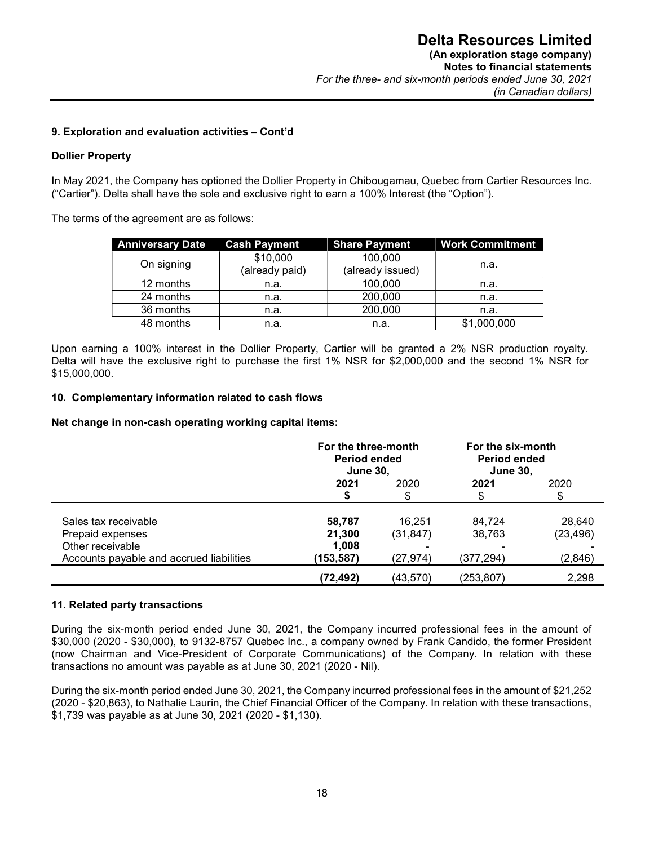#### **9. Exploration and evaluation activities – Cont'd**

#### **Dollier Property**

In May 2021, the Company has optioned the Dollier Property in Chibougamau, Quebec from Cartier Resources Inc. ("Cartier"). Delta shall have the sole and exclusive right to earn a 100% Interest (the "Option").

The terms of the agreement are as follows:

| <b>Anniversary Date</b> | <b>Cash Payment</b> | <b>Share Payment</b> | <b>Work Commitment</b> |
|-------------------------|---------------------|----------------------|------------------------|
|                         | \$10,000            | 100,000              |                        |
| On signing              | (already paid)      | (already issued)     | n.a.                   |
| 12 months               | n.a.                | 100,000              | n.a.                   |
| 24 months               | n.a.                | 200,000              | n.a.                   |
| 36 months               | n.a.                | 200,000              | n.a.                   |
| 48 months               | n.a.                | n.a.                 | \$1,000,000            |

 Upon earning a 100% interest in the Dollier Property, Cartier will be granted a 2% NSR production royalty. Delta will have the exclusive right to purchase the first 1% NSR for \$2,000,000 and the second 1% NSR for \$15,000,000.

#### **10. Complementary information related to cash flows**

**Net change in non-cash operating working capital items:** 

|                                          | For the three-month<br><b>Period ended</b><br><b>June 30,</b> |           | For the six-month<br><b>Period ended</b><br><b>June 30,</b> |           |
|------------------------------------------|---------------------------------------------------------------|-----------|-------------------------------------------------------------|-----------|
|                                          | 2021<br>2020                                                  |           | 2021                                                        | 2020      |
|                                          |                                                               |           | \$                                                          |           |
| Sales tax receivable                     | 58,787                                                        | 16.251    | 84.724                                                      | 28,640    |
| Prepaid expenses                         | 21,300                                                        | (31, 847) | 38,763                                                      | (23, 496) |
| Other receivable                         | 1,008                                                         |           |                                                             |           |
| Accounts payable and accrued liabilities | (153,587)                                                     | (27, 974) | (377,294)                                                   | (2,846)   |
|                                          | (72, 492)                                                     | (43,570)  | (253,807)                                                   | 2,298     |

#### **11. Related party transactions**

During the six-month period ended June 30, 2021, the Company incurred professional fees in the amount of \$30,000 (2020 - \$30,000), to 9132-8757 Quebec Inc., a company owned by Frank Candido, the former President (now Chairman and Vice-President of Corporate Communications) of the Company. In relation with these transactions no amount was payable as at June 30, 2021 (2020 - Nil).

During the six-month period ended June 30, 2021, the Company incurred professional fees in the amount of \$21,252 (2020 - \$20,863), to Nathalie Laurin, the Chief Financial Officer of the Company. In relation with these transactions, \$1,739 was payable as at June 30, 2021 (2020 - \$1,130).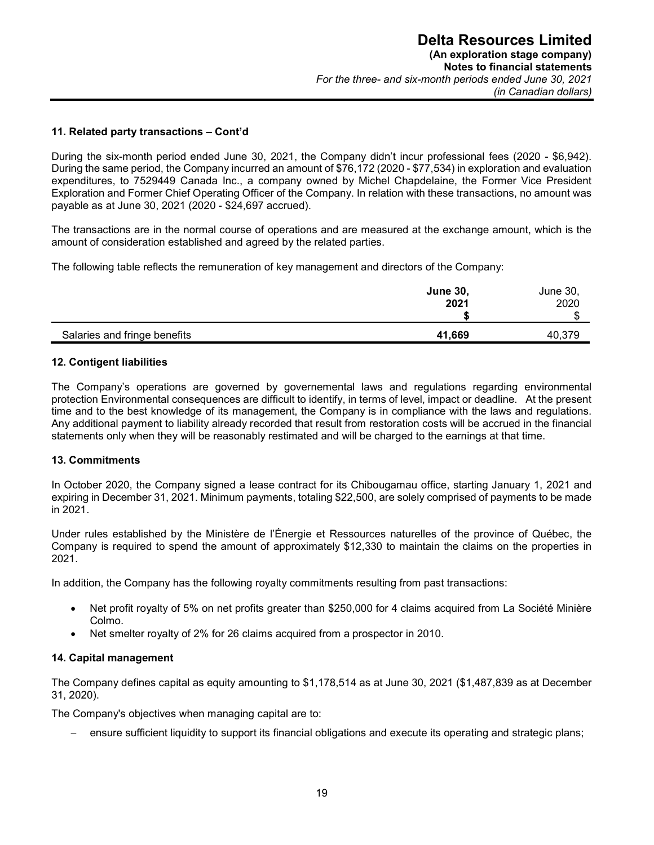#### **11. Related party transactions – Cont'd**

During the six-month period ended June 30, 2021, the Company didn't incur professional fees (2020 - \$6,942). During the same period, the Company incurred an amount of \$76,172 (2020 - \$77,534) in exploration and evaluation expenditures, to 7529449 Canada Inc., a company owned by Michel Chapdelaine, the Former Vice President Exploration and Former Chief Operating Officer of the Company. In relation with these transactions, no amount was payable as at June 30, 2021 (2020 - \$24,697 accrued).

The transactions are in the normal course of operations and are measured at the exchange amount, which is the amount of consideration established and agreed by the related parties.

The following table reflects the remuneration of key management and directors of the Company:

|                              | <b>June 30,</b><br>2021 | June 30,<br>2020<br>ጦ<br>۰D |
|------------------------------|-------------------------|-----------------------------|
| Salaries and fringe benefits | 41,669                  | 40,379                      |

#### **12. Contigent liabilities**

The Company's operations are governed by governemental laws and regulations regarding environmental protection Environmental consequences are difficult to identify, in terms of level, impact or deadline. At the present time and to the best knowledge of its management, the Company is in compliance with the laws and regulations. Any additional payment to liability already recorded that result from restoration costs will be accrued in the financial statements only when they will be reasonably restimated and will be charged to the earnings at that time.

#### **13. Commitments**

In October 2020, the Company signed a lease contract for its Chibougamau office, starting January 1, 2021 and expiring in December 31, 2021. Minimum payments, totaling \$22,500, are solely comprised of payments to be made in 2021.

Under rules established by the Ministère de l'Énergie et Ressources naturelles of the province of Québec, the Company is required to spend the amount of approximately \$12,330 to maintain the claims on the properties in 2021.

In addition, the Company has the following royalty commitments resulting from past transactions:

- Net profit royalty of 5% on net profits greater than \$250,000 for 4 claims acquired from La Société Minière Colmo.
- Net smelter royalty of 2% for 26 claims acquired from a prospector in 2010.

#### **14. Capital management**

The Company defines capital as equity amounting to \$1,178,514 as at June 30, 2021 (\$1,487,839 as at December 31, 2020).

The Company's objectives when managing capital are to:

- ensure sufficient liquidity to support its financial obligations and execute its operating and strategic plans;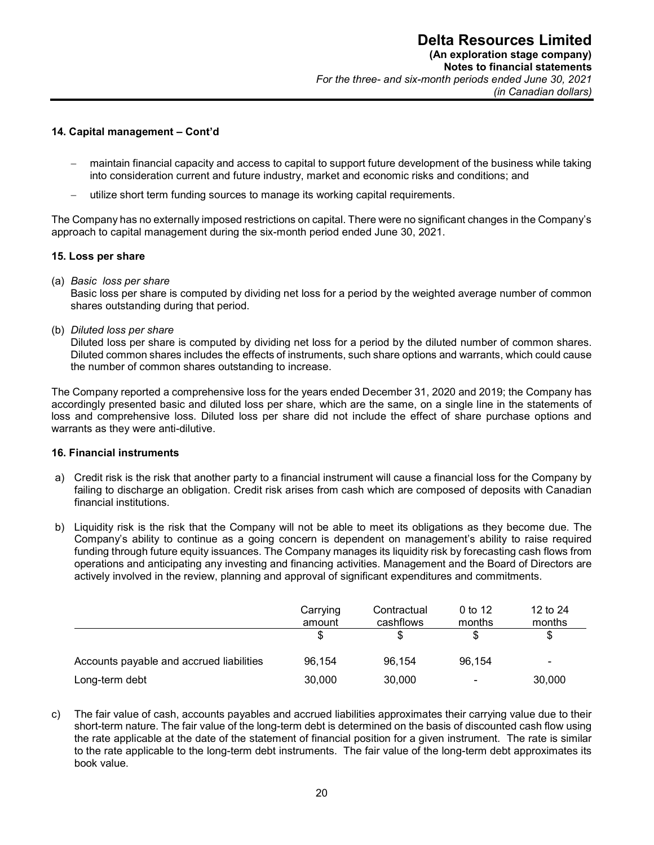#### **14. Capital management – Cont'd**

- maintain financial capacity and access to capital to support future development of the business while taking into consideration current and future industry, market and economic risks and conditions; and
- utilize short term funding sources to manage its working capital requirements.

The Company has no externally imposed restrictions on capital. There were no significant changes in the Company's approach to capital management during the six-month period ended June 30, 2021.

#### **15. Loss per share**

(a) *Basic loss per share* 

Basic loss per share is computed by dividing net loss for a period by the weighted average number of common shares outstanding during that period.

(b) *Diluted loss per share* 

Diluted loss per share is computed by dividing net loss for a period by the diluted number of common shares. Diluted common shares includes the effects of instruments, such share options and warrants, which could cause the number of common shares outstanding to increase.

The Company reported a comprehensive loss for the years ended December 31, 2020 and 2019; the Company has accordingly presented basic and diluted loss per share, which are the same, on a single line in the statements of loss and comprehensive loss. Diluted loss per share did not include the effect of share purchase options and warrants as they were anti-dilutive.

#### **16. Financial instruments**

- a) Credit risk is the risk that another party to a financial instrument will cause a financial loss for the Company by failing to discharge an obligation. Credit risk arises from cash which are composed of deposits with Canadian financial institutions.
- b) Liquidity risk is the risk that the Company will not be able to meet its obligations as they become due. The Company's ability to continue as a going concern is dependent on management's ability to raise required funding through future equity issuances. The Company manages its liquidity risk by forecasting cash flows from operations and anticipating any investing and financing activities. Management and the Board of Directors are actively involved in the review, planning and approval of significant expenditures and commitments.

|                                          | Carrying<br>amount | Contractual<br>cashflows | 0 to 12<br>months | 12 to 24<br>months |
|------------------------------------------|--------------------|--------------------------|-------------------|--------------------|
|                                          |                    |                          | S                 | \$                 |
| Accounts payable and accrued liabilities | 96.154             | 96.154                   | 96.154            | $\blacksquare$     |
| Long-term debt                           | 30,000             | 30,000                   | $\blacksquare$    | 30,000             |

c) The fair value of cash, accounts payables and accrued liabilities approximates their carrying value due to their short-term nature. The fair value of the long-term debt is determined on the basis of discounted cash flow using the rate applicable at the date of the statement of financial position for a given instrument. The rate is similar to the rate applicable to the long-term debt instruments. The fair value of the long-term debt approximates its book value.